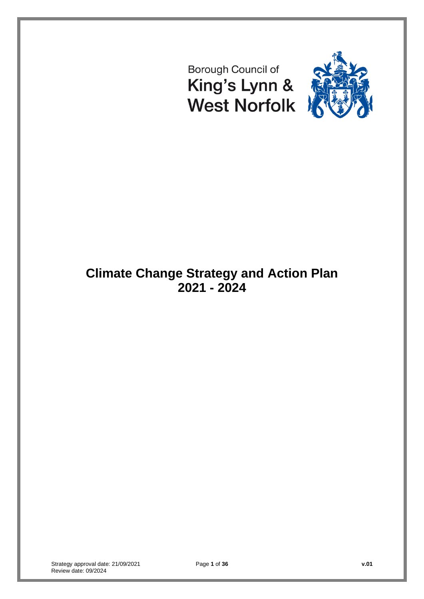# Borough Council of King's Lynn & **West Norfolk**



# **Climate Change Strategy and Action Plan 2021 - 2024**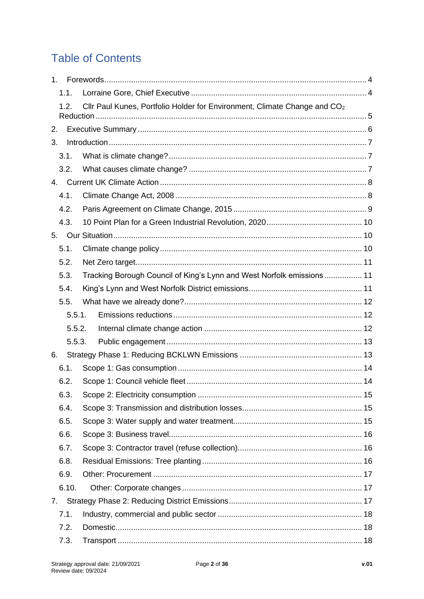# **Table of Contents**

| 1 <sub>1</sub> |                                                                                       |  |
|----------------|---------------------------------------------------------------------------------------|--|
| 1.1.           |                                                                                       |  |
| 1.2.           | Cllr Paul Kunes, Portfolio Holder for Environment, Climate Change and CO <sub>2</sub> |  |
|                |                                                                                       |  |
| 2.             |                                                                                       |  |
| 3.             |                                                                                       |  |
| 3.1.           |                                                                                       |  |
| 3.2.           |                                                                                       |  |
| 4.             |                                                                                       |  |
| 4.1.           |                                                                                       |  |
| 4.2.           |                                                                                       |  |
| 4.3.           |                                                                                       |  |
| 5.             |                                                                                       |  |
| 5.1.           |                                                                                       |  |
| 5.2.           |                                                                                       |  |
| 5.3.           | Tracking Borough Council of King's Lynn and West Norfolk emissions 11                 |  |
| 5.4.           |                                                                                       |  |
| 5.5.           |                                                                                       |  |
| 5.5.1.         |                                                                                       |  |
| 5.5.2.         |                                                                                       |  |
| 5.5.3.         |                                                                                       |  |
| 6.             |                                                                                       |  |
| 6.1.           |                                                                                       |  |
| 6.2.           |                                                                                       |  |
|                |                                                                                       |  |
| 6.4.           |                                                                                       |  |
| 6.5.           |                                                                                       |  |
| 6.6.           |                                                                                       |  |
| 6.7.           |                                                                                       |  |
| 6.8.           |                                                                                       |  |
| 6.9.           |                                                                                       |  |
| 6.10.          |                                                                                       |  |
| 7.             |                                                                                       |  |
| 7.1.           |                                                                                       |  |
| 7.2.           |                                                                                       |  |
| 7.3.           |                                                                                       |  |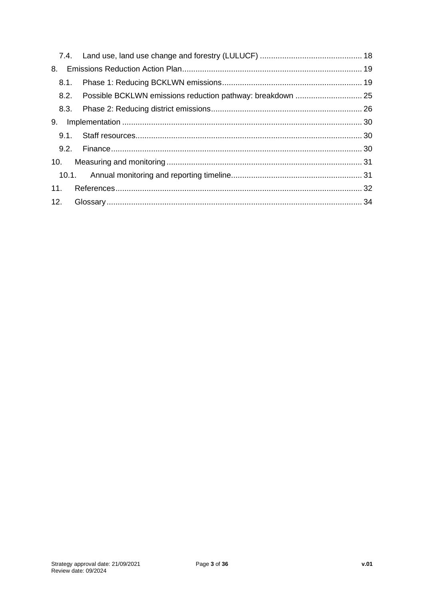| 8.   |  |
|------|--|
| 8.1. |  |
|      |  |
|      |  |
| 9.   |  |
|      |  |
|      |  |
|      |  |
|      |  |
|      |  |
|      |  |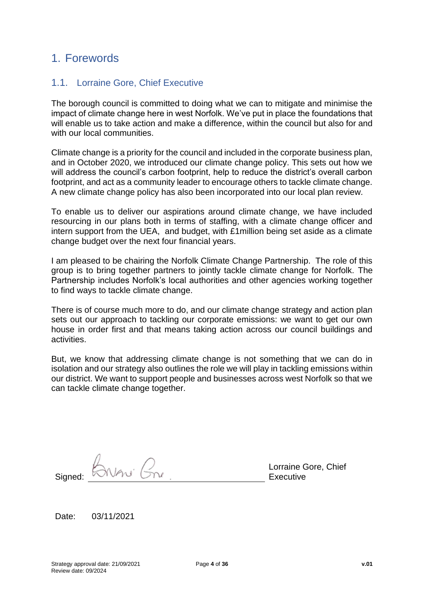### <span id="page-3-0"></span>1. Forewords

#### <span id="page-3-1"></span>1.1. Lorraine Gore, Chief Executive

The borough council is committed to doing what we can to mitigate and minimise the impact of climate change here in west Norfolk. We've put in place the foundations that will enable us to take action and make a difference, within the council but also for and with our local communities.

Climate change is a priority for the council and included in the corporate business plan, and in October 2020, we introduced our climate change policy. This sets out how we will address the council's carbon footprint, help to reduce the district's overall carbon footprint, and act as a community leader to encourage others to tackle climate change. A new climate change policy has also been incorporated into our local plan review*.*

To enable us to deliver our aspirations around climate change, we have included resourcing in our plans both in terms of staffing, with a climate change officer and intern support from the UEA, and budget, with £1million being set aside as a climate change budget over the next four financial years.

I am pleased to be chairing the Norfolk Climate Change Partnership. The role of this group is to bring together partners to jointly tackle climate change for Norfolk. The Partnership includes Norfolk's local authorities and other agencies working together to find ways to tackle climate change.

There is of course much more to do, and our climate change strategy and action plan sets out our approach to tackling our corporate emissions: we want to get our own house in order first and that means taking action across our council buildings and activities.

But, we know that addressing climate change is not something that we can do in isolation and our strategy also outlines the role we will play in tackling emissions within our district. We want to support people and businesses across west Norfolk so that we can tackle climate change together.

|         | Vni<br>N |  |
|---------|----------|--|
| Signed: |          |  |
|         |          |  |

Lorraine Gore, Chief Executive

Date: 03/11/2021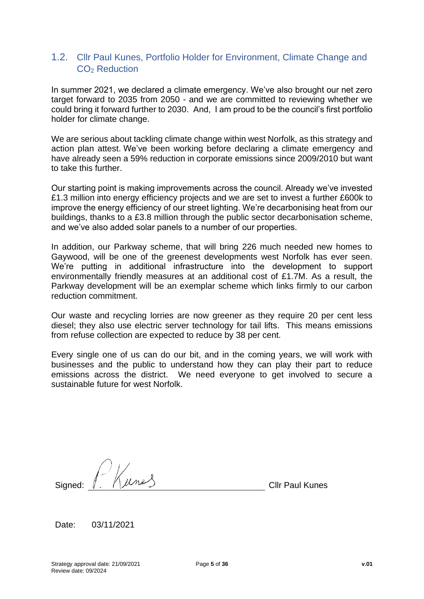#### <span id="page-4-0"></span>1.2. Cllr Paul Kunes, Portfolio Holder for Environment, Climate Change and CO<sub>2</sub> Reduction

In summer 2021, we declared a climate emergency. We've also brought our net zero target forward to 2035 from 2050 - and we are committed to reviewing whether we could bring it forward further to 2030. And, I am proud to be the council's first portfolio holder for climate change.

We are serious about tackling climate change within west Norfolk, as this strategy and action plan attest. We've been working before declaring a climate emergency and have already seen a 59% reduction in corporate emissions since 2009/2010 but want to take this further.

Our starting point is making improvements across the council. Already we've invested £1.3 million into energy efficiency projects and we are set to invest a further £600k to improve the energy efficiency of our street lighting. We're decarbonising heat from our buildings, thanks to a £3.8 million through the public sector decarbonisation scheme, and we've also added solar panels to a number of our properties.

In addition, our Parkway scheme, that will bring 226 much needed new homes to Gaywood, will be one of the greenest developments west Norfolk has ever seen. We're putting in additional infrastructure into the development to support environmentally friendly measures at an additional cost of £1.7M. As a result, the Parkway development will be an exemplar scheme which links firmly to our carbon reduction commitment.

Our waste and recycling lorries are now greener as they require 20 per cent less diesel; they also use electric server technology for tail lifts. This means emissions from refuse collection are expected to reduce by 38 per cent.

Every single one of us can do our bit, and in the coming years, we will work with businesses and the public to understand how they can play their part to reduce emissions across the district. We need everyone to get involved to secure a sustainable future for west Norfolk.

 $\frac{1}{\sqrt{2}}$  Cllr Paul Kunes

Date: 03/11/2021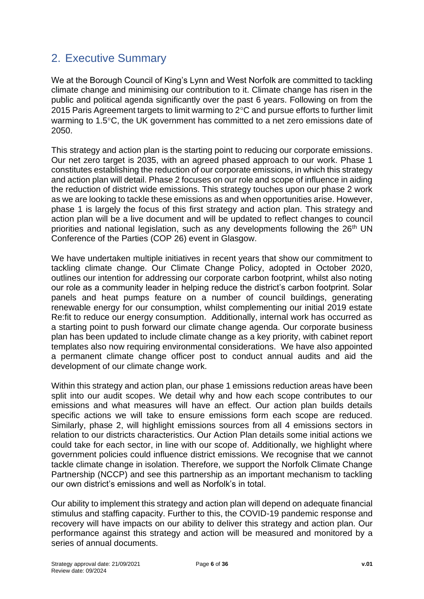### <span id="page-5-0"></span>2. Executive Summary

We at the Borough Council of King's Lynn and West Norfolk are committed to tackling climate change and minimising our contribution to it. Climate change has risen in the public and political agenda significantly over the past 6 years. Following on from the 2015 Paris Agreement targets to limit warming to  $2^{\circ}$ C and pursue efforts to further limit warming to 1.5°C, the UK government has committed to a net zero emissions date of 2050.

This strategy and action plan is the starting point to reducing our corporate emissions. Our net zero target is 2035, with an agreed phased approach to our work. Phase 1 constitutes establishing the reduction of our corporate emissions, in which this strategy and action plan will detail. Phase 2 focuses on our role and scope of influence in aiding the reduction of district wide emissions. This strategy touches upon our phase 2 work as we are looking to tackle these emissions as and when opportunities arise. However, phase 1 is largely the focus of this first strategy and action plan. This strategy and action plan will be a live document and will be updated to reflect changes to council priorities and national legislation, such as any developments following the 26<sup>th</sup> UN Conference of the Parties (COP 26) event in Glasgow.

We have undertaken multiple initiatives in recent years that show our commitment to tackling climate change. Our Climate Change Policy, adopted in October 2020, outlines our intention for addressing our corporate carbon footprint, whilst also noting our role as a community leader in helping reduce the district's carbon footprint. Solar panels and heat pumps feature on a number of council buildings, generating renewable energy for our consumption, whilst complementing our initial 2019 estate Re:fit to reduce our energy consumption. Additionally, internal work has occurred as a starting point to push forward our climate change agenda. Our corporate business plan has been updated to include climate change as a key priority, with cabinet report templates also now requiring environmental considerations. We have also appointed a permanent climate change officer post to conduct annual audits and aid the development of our climate change work.

Within this strategy and action plan, our phase 1 emissions reduction areas have been split into our audit scopes. We detail why and how each scope contributes to our emissions and what measures will have an effect. Our action plan builds details specific actions we will take to ensure emissions form each scope are reduced. Similarly, phase 2, will highlight emissions sources from all 4 emissions sectors in relation to our districts characteristics. Our Action Plan details some initial actions we could take for each sector, in line with our scope of. Additionally, we highlight where government policies could influence district emissions. We recognise that we cannot tackle climate change in isolation. Therefore, we support the Norfolk Climate Change Partnership (NCCP) and see this partnership as an important mechanism to tackling our own district's emissions and well as Norfolk's in total.

Our ability to implement this strategy and action plan will depend on adequate financial stimulus and staffing capacity. Further to this, the COVID-19 pandemic response and recovery will have impacts on our ability to deliver this strategy and action plan. Our performance against this strategy and action will be measured and monitored by a series of annual documents.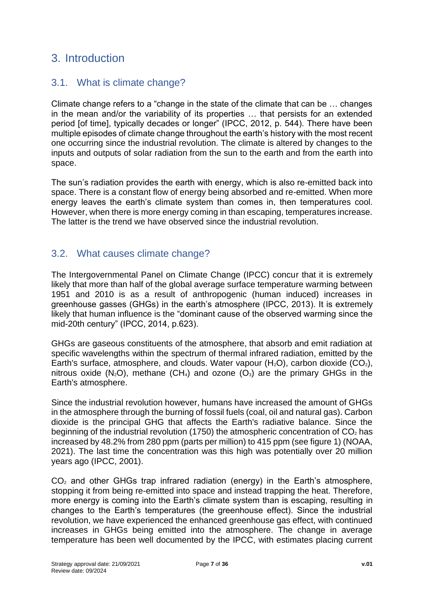### <span id="page-6-0"></span>3. Introduction

#### <span id="page-6-1"></span>3.1. What is climate change?

Climate change refers to a "change in the state of the climate that can be … changes in the mean and/or the variability of its properties … that persists for an extended period [of time], typically decades or longer" (IPCC, 2012, p. 544). There have been multiple episodes of climate change throughout the earth's history with the most recent one occurring since the industrial revolution. The climate is altered by changes to the inputs and outputs of solar radiation from the sun to the earth and from the earth into space.

The sun's radiation provides the earth with energy, which is also re-emitted back into space. There is a constant flow of energy being absorbed and re-emitted. When more energy leaves the earth's climate system than comes in, then temperatures cool. However, when there is more energy coming in than escaping, temperatures increase. The latter is the trend we have observed since the industrial revolution.

#### <span id="page-6-2"></span>3.2. What causes climate change?

The Intergovernmental Panel on Climate Change (IPCC) concur that it is extremely likely that more than half of the global average surface temperature warming between 1951 and 2010 is as a result of anthropogenic (human induced) increases in greenhouse gasses (GHGs) in the earth's atmosphere (IPCC, 2013). It is extremely likely that human influence is the "dominant cause of the observed warming since the mid-20th century" (IPCC, 2014, p.623).

GHGs are gaseous constituents of the atmosphere, that absorb and emit radiation at specific wavelengths within the spectrum of thermal infrared radiation, emitted by the Earth's surface, atmosphere, and clouds. Water vapour  $(H_2O)$ , carbon dioxide  $(CO_2)$ , nitrous oxide  $(N_2O)$ , methane  $(CH_4)$  and ozone  $(O_3)$  are the primary GHGs in the Earth's atmosphere.

Since the industrial revolution however, humans have increased the amount of GHGs in the atmosphere through the burning of fossil fuels (coal, oil and natural gas). Carbon dioxide is the principal GHG that affects the Earth's radiative balance. Since the beginning of the industrial revolution (1750) the atmospheric concentration of  $CO<sub>2</sub>$  has increased by 48.2% from 280 ppm (parts per million) to 415 ppm (see figure 1) (NOAA, 2021). The last time the concentration was this high was potentially over 20 million years ago (IPCC, 2001).

 $CO<sub>2</sub>$  and other GHGs trap infrared radiation (energy) in the Earth's atmosphere, stopping it from being re-emitted into space and instead trapping the heat. Therefore, more energy is coming into the Earth's climate system than is escaping, resulting in changes to the Earth's temperatures (the greenhouse effect). Since the industrial revolution, we have experienced the enhanced greenhouse gas effect, with continued increases in GHGs being emitted into the atmosphere. The change in average temperature has been well documented by the IPCC, with estimates placing current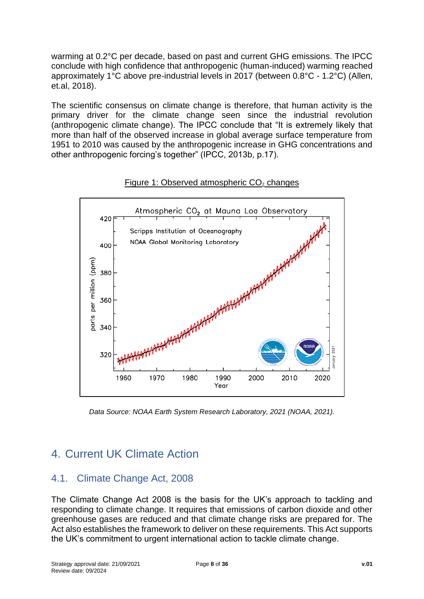warming at 0.2°C per decade, based on past and current GHG emissions. The IPCC conclude with high confidence that anthropogenic (human-induced) warming reached approximately 1°C above pre-industrial levels in 2017 (between 0.8°C - 1.2°C) (Allen, et.al, 2018).

The scientific consensus on climate change is therefore, that human activity is the primary driver for the climate change seen since the industrial revolution (anthropogenic climate change). The IPCC conclude that "It is extremely likely that more than half of the observed increase in global average surface temperature from 1951 to 2010 was caused by the anthropogenic increase in GHG concentrations and other anthropogenic forcing's together" (IPCC, 2013b, p.17).



Figure 1: Observed atmospheric  $CO<sub>2</sub>$  changes

*Data Source: NOAA Earth System Research Laboratory, 2021 (NOAA, 2021).*

## <span id="page-7-0"></span>4. Current UK Climate Action

### <span id="page-7-1"></span>4.1. Climate Change Act, 2008

The Climate Change Act 2008 is the basis for the UK's approach to tackling and responding to climate change. It requires that emissions of carbon dioxide and other greenhouse gases are reduced and that climate change risks are prepared for. The Act also establishes the framework to deliver on these requirements. This Act supports the UK's commitment to urgent international action to tackle climate change.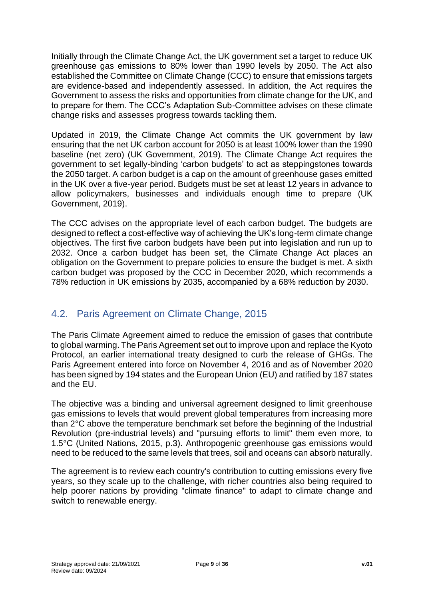Initially through the Climate Change Act, the UK government set a target to reduce UK greenhouse gas emissions to 80% lower than 1990 levels by 2050. The Act also established the Committee on Climate Change (CCC) to ensure that emissions targets are evidence-based and independently assessed. In addition, the Act requires the Government to assess the risks and opportunities from climate change for the UK, and to prepare for them. The CCC's Adaptation Sub-Committee advises on these climate change risks and assesses progress towards tackling them.

Updated in 2019, the Climate Change Act commits the UK government by law ensuring that the net UK carbon account for 2050 is at least 100% lower than the 1990 baseline (net zero) (UK Government, 2019). The Climate Change Act requires the government to set legally-binding 'carbon budgets' to act as steppingstones towards the 2050 target. A carbon budget is a cap on the amount of greenhouse gases emitted in the UK over a five-year period. Budgets must be set at least 12 years in advance to allow policymakers, businesses and individuals enough time to prepare (UK Government, 2019).

The CCC advises on the appropriate level of each carbon budget. The budgets are designed to reflect a cost-effective way of achieving the UK's long-term climate change objectives. The first five carbon budgets have been put into legislation and run up to 2032. Once a carbon budget has been set, the Climate Change Act places an obligation on the Government to prepare policies to ensure the budget is met. A sixth carbon budget was proposed by the CCC in December 2020, which recommends a 78% reduction in UK emissions by 2035, accompanied by a 68% reduction by 2030.

#### <span id="page-8-0"></span>4.2. Paris Agreement on Climate Change, 2015

The Paris Climate Agreement aimed to reduce the emission of gases that contribute to global warming. The Paris Agreement set out to improve upon and replace the Kyoto Protocol, an earlier international treaty designed to curb the release of GHGs. The Paris Agreement entered into force on November 4, 2016 and as of November 2020 has been signed by 194 states and the European Union (EU) and ratified by 187 states and the EU.

The objective was a binding and universal agreement designed to limit greenhouse gas emissions to levels that would prevent global temperatures from increasing more than 2°C above the temperature benchmark set before the beginning of the Industrial Revolution (pre-industrial levels) and "pursuing efforts to limit" them even more, to 1.5°C (United Nations, 2015, p.3). Anthropogenic greenhouse gas emissions would need to be reduced to the same levels that trees, soil and oceans can absorb naturally.

The agreement is to review each country's contribution to cutting emissions every five years, so they scale up to the challenge, with richer countries also being required to help poorer nations by providing "climate finance" to adapt to climate change and switch to renewable energy.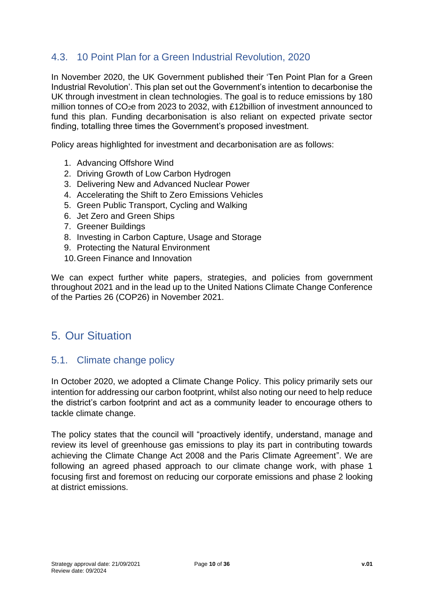#### <span id="page-9-0"></span>4.3. 10 Point Plan for a Green Industrial Revolution, 2020

In November 2020, the UK Government published their 'Ten Point Plan for a Green Industrial Revolution'. This plan set out the Government's intention to decarbonise the UK through investment in clean technologies. The goal is to reduce emissions by 180 million tonnes of CO2e from 2023 to 2032, with £12billion of investment announced to fund this plan. Funding decarbonisation is also reliant on expected private sector finding, totalling three times the Government's proposed investment.

Policy areas highlighted for investment and decarbonisation are as follows:

- 1. Advancing Offshore Wind
- 2. Driving Growth of Low Carbon Hydrogen
- 3. Delivering New and Advanced Nuclear Power
- 4. Accelerating the Shift to Zero Emissions Vehicles
- 5. Green Public Transport, Cycling and Walking
- 6. Jet Zero and Green Ships
- 7. Greener Buildings
- 8. Investing in Carbon Capture, Usage and Storage
- 9. Protecting the Natural Environment
- 10.Green Finance and Innovation

We can expect further white papers, strategies, and policies from government throughout 2021 and in the lead up to the United Nations Climate Change Conference of the Parties 26 (COP26) in November 2021.

### <span id="page-9-1"></span>5. Our Situation

#### <span id="page-9-2"></span>5.1. Climate change policy

In October 2020, we adopted a Climate Change Policy. This policy primarily sets our intention for addressing our carbon footprint, whilst also noting our need to help reduce the district's carbon footprint and act as a community leader to encourage others to tackle climate change.

The policy states that the council will "proactively identify, understand, manage and review its level of greenhouse gas emissions to play its part in contributing towards achieving the Climate Change Act 2008 and the Paris Climate Agreement". We are following an agreed phased approach to our climate change work, with phase 1 focusing first and foremost on reducing our corporate emissions and phase 2 looking at district emissions.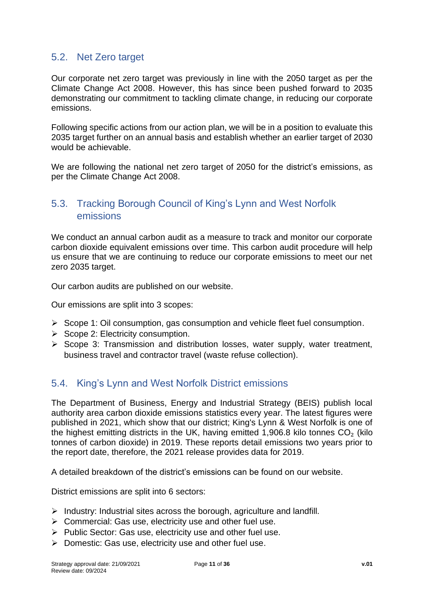#### <span id="page-10-0"></span>5.2. Net Zero target

Our corporate net zero target was previously in line with the 2050 target as per the Climate Change Act 2008. However, this has since been pushed forward to 2035 demonstrating our commitment to tackling climate change, in reducing our corporate emissions.

Following specific actions from our action plan, we will be in a position to evaluate this 2035 target further on an annual basis and establish whether an earlier target of 2030 would be achievable.

We are following the national net zero target of 2050 for the district's emissions, as per the Climate Change Act 2008.

#### <span id="page-10-1"></span>5.3. Tracking Borough Council of King's Lynn and West Norfolk emissions

We conduct an annual carbon audit as a measure to track and monitor our corporate carbon dioxide equivalent emissions over time. This carbon audit procedure will help us ensure that we are continuing to reduce our corporate emissions to meet our net zero 2035 target.

Our carbon audits are published on our website.

Our emissions are split into 3 scopes:

- $\triangleright$  Scope 1: Oil consumption, gas consumption and vehicle fleet fuel consumption.
- ➢ Scope 2: Electricity consumption.
- ➢ Scope 3: Transmission and distribution losses, water supply, water treatment, business travel and contractor travel (waste refuse collection).

#### <span id="page-10-2"></span>5.4. King's Lynn and West Norfolk District emissions

The Department of Business, Energy and Industrial Strategy (BEIS) publish local authority area carbon dioxide emissions statistics every year. The latest figures were published in 2021, which show that our district; King's Lynn & West Norfolk is one of the highest emitting districts in the UK, having emitted 1,906.8 kilo tonnes  $CO<sub>2</sub>$  (kilo tonnes of carbon dioxide) in 2019. These reports detail emissions two years prior to the report date, therefore, the 2021 release provides data for 2019.

A detailed breakdown of the district's emissions can be found on our website.

District emissions are split into 6 sectors:

- $\triangleright$  Industry: Industrial sites across the borough, agriculture and landfill.
- ➢ Commercial: Gas use, electricity use and other fuel use.
- ➢ Public Sector: Gas use, electricity use and other fuel use.
- ➢ Domestic: Gas use, electricity use and other fuel use.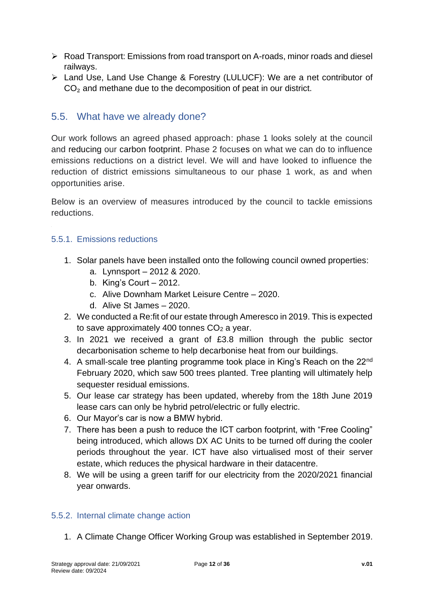- ➢ Road Transport: Emissions from road transport on A-roads, minor roads and diesel railways.
- ➢ Land Use, Land Use Change & Forestry (LULUCF): We are a net contributor of CO<sub>2</sub> and methane due to the decomposition of peat in our district.

#### <span id="page-11-0"></span>5.5. What have we already done?

Our work follows an agreed phased approach: phase 1 looks solely at the council and reducing our carbon footprint. Phase 2 focuses on what we can do to influence emissions reductions on a district level. We will and have looked to influence the reduction of district emissions simultaneous to our phase 1 work, as and when opportunities arise.

Below is an overview of measures introduced by the council to tackle emissions reductions.

#### <span id="page-11-1"></span>5.5.1. Emissions reductions

- 1. Solar panels have been installed onto the following council owned properties:
	- a. Lynnsport 2012 & 2020.
	- b. King's Court 2012.
	- c. Alive Downham Market Leisure Centre 2020.
	- d. Alive St James 2020.
- 2. We conducted a Re:fit of our estate through Ameresco in 2019. This is expected to save approximately 400 tonnes CO<sub>2</sub> a year.
- 3. In 2021 we received a grant of £3.8 million through the public sector decarbonisation scheme to help decarbonise heat from our buildings.
- 4. A small-scale tree planting programme took place in King's Reach on the 22nd February 2020, which saw 500 trees planted. Tree planting will ultimately help sequester residual emissions.
- 5. Our lease car strategy has been updated, whereby from the 18th June 2019 lease cars can only be hybrid petrol/electric or fully electric.
- 6. Our Mayor's car is now a BMW hybrid.
- 7. There has been a push to reduce the ICT carbon footprint, with "Free Cooling" being introduced, which allows DX AC Units to be turned off during the cooler periods throughout the year. ICT have also virtualised most of their server estate, which reduces the physical hardware in their datacentre.
- 8. We will be using a green tariff for our electricity from the 2020/2021 financial year onwards.

#### <span id="page-11-2"></span>5.5.2. Internal climate change action

1. A Climate Change Officer Working Group was established in September 2019.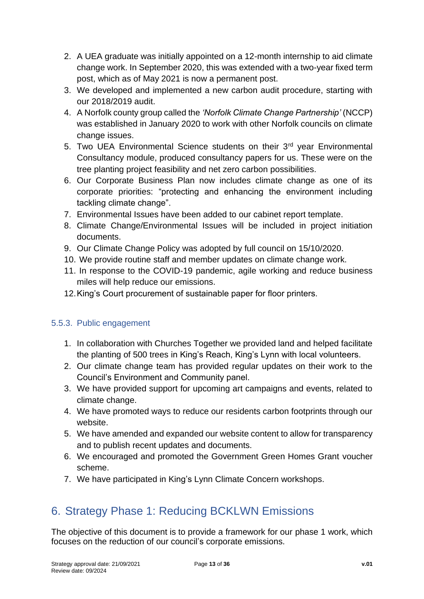- 2. A UEA graduate was initially appointed on a 12-month internship to aid climate change work. In September 2020, this was extended with a two-year fixed term post, which as of May 2021 is now a permanent post.
- 3. We developed and implemented a new carbon audit procedure, starting with our 2018/2019 audit.
- 4. A Norfolk county group called the *'Norfolk Climate Change Partnership'* (NCCP) was established in January 2020 to work with other Norfolk councils on climate change issues.
- 5. Two UEA Environmental Science students on their 3<sup>rd</sup> year Environmental Consultancy module, produced consultancy papers for us. These were on the tree planting project feasibility and net zero carbon possibilities.
- 6. Our Corporate Business Plan now includes climate change as one of its corporate priorities: "protecting and enhancing the environment including tackling climate change".
- 7. Environmental Issues have been added to our cabinet report template.
- 8. Climate Change/Environmental Issues will be included in project initiation documents.
- 9. Our Climate Change Policy was adopted by full council on 15/10/2020.
- 10. We provide routine staff and member updates on climate change work.
- 11. In response to the COVID-19 pandemic, agile working and reduce business miles will help reduce our emissions.
- 12.King's Court procurement of sustainable paper for floor printers.

#### <span id="page-12-0"></span>5.5.3. Public engagement

- 1. In collaboration with Churches Together we provided land and helped facilitate the planting of 500 trees in King's Reach, King's Lynn with local volunteers.
- 2. Our climate change team has provided regular updates on their work to the Council's Environment and Community panel.
- 3. We have provided support for upcoming art campaigns and events, related to climate change.
- 4. We have promoted ways to reduce our residents carbon footprints through our website.
- 5. We have amended and expanded our website content to allow for transparency and to publish recent updates and documents.
- 6. We encouraged and promoted the Government Green Homes Grant voucher scheme.
- 7. We have participated in King's Lynn Climate Concern workshops.

### <span id="page-12-1"></span>6. Strategy Phase 1: Reducing BCKLWN Emissions

The objective of this document is to provide a framework for our phase 1 work, which focuses on the reduction of our council's corporate emissions.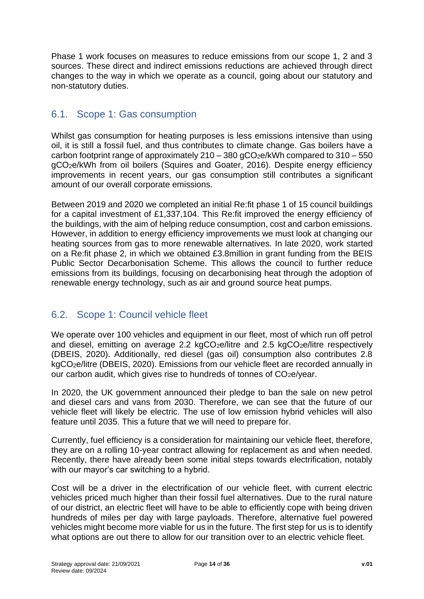Phase 1 work focuses on measures to reduce emissions from our scope 1, 2 and 3 sources. These direct and indirect emissions reductions are achieved through direct changes to the way in which we operate as a council, going about our statutory and non-statutory duties.

#### <span id="page-13-0"></span>6.1. Scope 1: Gas consumption

Whilst gas consumption for heating purposes is less emissions intensive than using oil, it is still a fossil fuel, and thus contributes to climate change. Gas boilers have a carbon footprint range of approximately  $210 - 380$  gCO<sub>2</sub>e/kWh compared to  $310 - 550$ gCO2e/kWh from oil boilers (Squires and Goater, 2016). Despite energy efficiency improvements in recent years, our gas consumption still contributes a significant amount of our overall corporate emissions.

Between 2019 and 2020 we completed an initial Re:fit phase 1 of 15 council buildings for a capital investment of £1,337,104. This Re:fit improved the energy efficiency of the buildings, with the aim of helping reduce consumption, cost and carbon emissions. However, in addition to energy efficiency improvements we must look at changing our heating sources from gas to more renewable alternatives. In late 2020, work started on a Re:fit phase 2, in which we obtained £3.8million in grant funding from the BEIS Public Sector Decarbonisation Scheme. This allows the council to further reduce emissions from its buildings, focusing on decarbonising heat through the adoption of renewable energy technology, such as air and ground source heat pumps.

#### <span id="page-13-1"></span>6.2. Scope 1: Council vehicle fleet

We operate over 100 vehicles and equipment in our fleet, most of which run off petrol and diesel, emitting on average 2.2 kgCO<sub>2</sub>e/litre and 2.5 kgCO<sub>2</sub>e/litre respectively (DBEIS, 2020). Additionally, red diesel (gas oil) consumption also contributes 2.8 kgCO2e/litre (DBEIS, 2020). Emissions from our vehicle fleet are recorded annually in our carbon audit, which gives rise to hundreds of tonnes of CO2e/year.

In 2020, the UK government announced their pledge to ban the sale on new petrol and diesel cars and vans from 2030. Therefore, we can see that the future of our vehicle fleet will likely be electric. The use of low emission hybrid vehicles will also feature until 2035. This a future that we will need to prepare for.

Currently, fuel efficiency is a consideration for maintaining our vehicle fleet, therefore, they are on a rolling 10-year contract allowing for replacement as and when needed. Recently, there have already been some initial steps towards electrification, notably with our mayor's car switching to a hybrid.

Cost will be a driver in the electrification of our vehicle fleet, with current electric vehicles priced much higher than their fossil fuel alternatives. Due to the rural nature of our district, an electric fleet will have to be able to efficiently cope with being driven hundreds of miles per day with large payloads. Therefore, alternative fuel powered vehicles might become more viable for us in the future. The first step for us is to identify what options are out there to allow for our transition over to an electric vehicle fleet.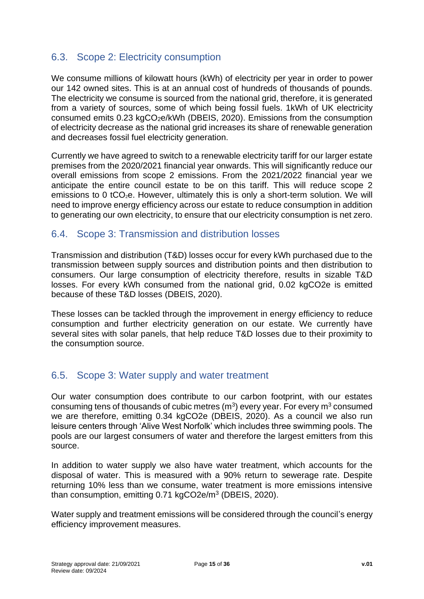#### <span id="page-14-0"></span>6.3. Scope 2: Electricity consumption

We consume millions of kilowatt hours (kWh) of electricity per year in order to power our 142 owned sites. This is at an annual cost of hundreds of thousands of pounds. The electricity we consume is sourced from the national grid, therefore, it is generated from a variety of sources, some of which being fossil fuels. 1kWh of UK electricity consumed emits 0.23 kgCO2e/kWh (DBEIS, 2020). Emissions from the consumption of electricity decrease as the national grid increases its share of renewable generation and decreases fossil fuel electricity generation.

Currently we have agreed to switch to a renewable electricity tariff for our larger estate premises from the 2020/2021 financial year onwards. This will significantly reduce our overall emissions from scope 2 emissions. From the 2021/2022 financial year we anticipate the entire council estate to be on this tariff. This will reduce scope 2 emissions to 0 tCO<sub>2</sub>e. However, ultimately this is only a short-term solution. We will need to improve energy efficiency across our estate to reduce consumption in addition to generating our own electricity, to ensure that our electricity consumption is net zero.

#### <span id="page-14-1"></span>6.4. Scope 3: Transmission and distribution losses

Transmission and distribution (T&D) losses occur for every kWh purchased due to the transmission between supply sources and distribution points and then distribution to consumers. Our large consumption of electricity therefore, results in sizable T&D losses. For every kWh consumed from the national grid, 0.02 kgCO2e is emitted because of these T&D losses (DBEIS, 2020).

These losses can be tackled through the improvement in energy efficiency to reduce consumption and further electricity generation on our estate. We currently have several sites with solar panels, that help reduce T&D losses due to their proximity to the consumption source.

#### <span id="page-14-2"></span>6.5. Scope 3: Water supply and water treatment

Our water consumption does contribute to our carbon footprint, with our estates consuming tens of thousands of cubic metres  $(m^3)$  every year. For every  $m^3$  consumed we are therefore, emitting 0.34 kgCO2e (DBEIS, 2020). As a council we also run leisure centers through 'Alive West Norfolk' which includes three swimming pools. The pools are our largest consumers of water and therefore the largest emitters from this source.

In addition to water supply we also have water treatment, which accounts for the disposal of water. This is measured with a 90% return to sewerage rate. Despite returning 10% less than we consume, water treatment is more emissions intensive than consumption, emitting 0.71 kgCO2e/m<sup>3</sup> (DBEIS, 2020).

Water supply and treatment emissions will be considered through the council's energy efficiency improvement measures.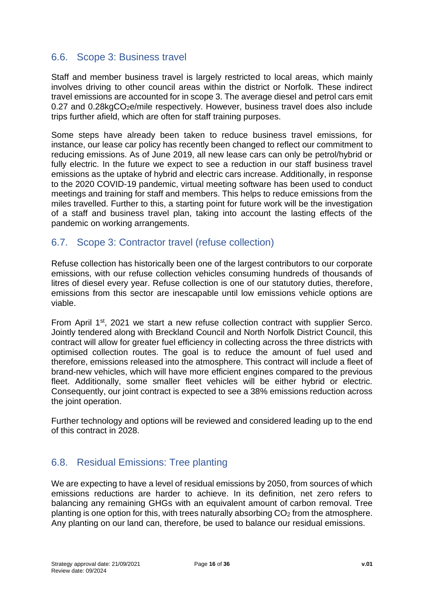#### <span id="page-15-0"></span>6.6. Scope 3: Business travel

Staff and member business travel is largely restricted to local areas, which mainly involves driving to other council areas within the district or Norfolk. These indirect travel emissions are accounted for in scope 3. The average diesel and petrol cars emit 0.27 and 0.28kgCO<sub>2</sub>e/mile respectively. However, business travel does also include trips further afield, which are often for staff training purposes.

Some steps have already been taken to reduce business travel emissions, for instance, our lease car policy has recently been changed to reflect our commitment to reducing emissions. As of June 2019, all new lease cars can only be petrol/hybrid or fully electric. In the future we expect to see a reduction in our staff business travel emissions as the uptake of hybrid and electric cars increase. Additionally, in response to the 2020 COVID-19 pandemic, virtual meeting software has been used to conduct meetings and training for staff and members. This helps to reduce emissions from the miles travelled. Further to this, a starting point for future work will be the investigation of a staff and business travel plan, taking into account the lasting effects of the pandemic on working arrangements.

#### <span id="page-15-1"></span>6.7. Scope 3: Contractor travel (refuse collection)

Refuse collection has historically been one of the largest contributors to our corporate emissions, with our refuse collection vehicles consuming hundreds of thousands of litres of diesel every year. Refuse collection is one of our statutory duties, therefore, emissions from this sector are inescapable until low emissions vehicle options are viable.

From April 1<sup>st</sup>, 2021 we start a new refuse collection contract with supplier Serco. Jointly tendered along with Breckland Council and North Norfolk District Council, this contract will allow for greater fuel efficiency in collecting across the three districts with optimised collection routes. The goal is to reduce the amount of fuel used and therefore, emissions released into the atmosphere. This contract will include a fleet of brand-new vehicles, which will have more efficient engines compared to the previous fleet. Additionally, some smaller fleet vehicles will be either hybrid or electric. Consequently, our joint contract is expected to see a 38% emissions reduction across the joint operation.

Further technology and options will be reviewed and considered leading up to the end of this contract in 2028.

#### <span id="page-15-2"></span>6.8. Residual Emissions: Tree planting

We are expecting to have a level of residual emissions by 2050, from sources of which emissions reductions are harder to achieve. In its definition, net zero refers to balancing any remaining GHGs with an equivalent amount of carbon removal. Tree planting is one option for this, with trees naturally absorbing  $CO<sub>2</sub>$  from the atmosphere. Any planting on our land can, therefore, be used to balance our residual emissions.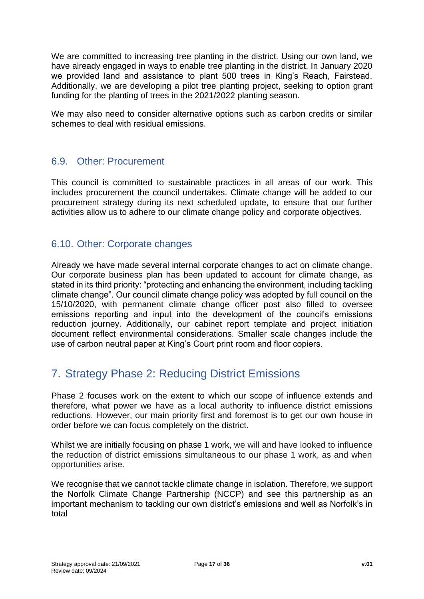We are committed to increasing tree planting in the district. Using our own land, we have already engaged in ways to enable tree planting in the district. In January 2020 we provided land and assistance to plant 500 trees in King's Reach, Fairstead. Additionally, we are developing a pilot tree planting project, seeking to option grant funding for the planting of trees in the 2021/2022 planting season.

We may also need to consider alternative options such as carbon credits or similar schemes to deal with residual emissions.

#### <span id="page-16-0"></span>6.9. Other: Procurement

This council is committed to sustainable practices in all areas of our work. This includes procurement the council undertakes. Climate change will be added to our procurement strategy during its next scheduled update, to ensure that our further activities allow us to adhere to our climate change policy and corporate objectives.

#### <span id="page-16-1"></span>6.10. Other: Corporate changes

Already we have made several internal corporate changes to act on climate change. Our corporate business plan has been updated to account for climate change, as stated in its third priority: "protecting and enhancing the environment, including tackling climate change". Our council climate change policy was adopted by full council on the 15/10/2020, with permanent climate change officer post also filled to oversee emissions reporting and input into the development of the council's emissions reduction journey. Additionally, our cabinet report template and project initiation document reflect environmental considerations. Smaller scale changes include the use of carbon neutral paper at King's Court print room and floor copiers.

### <span id="page-16-2"></span>7. Strategy Phase 2: Reducing District Emissions

Phase 2 focuses work on the extent to which our scope of influence extends and therefore, what power we have as a local authority to influence district emissions reductions. However, our main priority first and foremost is to get our own house in order before we can focus completely on the district.

Whilst we are initially focusing on phase 1 work, we will and have looked to influence the reduction of district emissions simultaneous to our phase 1 work, as and when opportunities arise.

We recognise that we cannot tackle climate change in isolation. Therefore, we support the Norfolk Climate Change Partnership (NCCP) and see this partnership as an important mechanism to tackling our own district's emissions and well as Norfolk's in total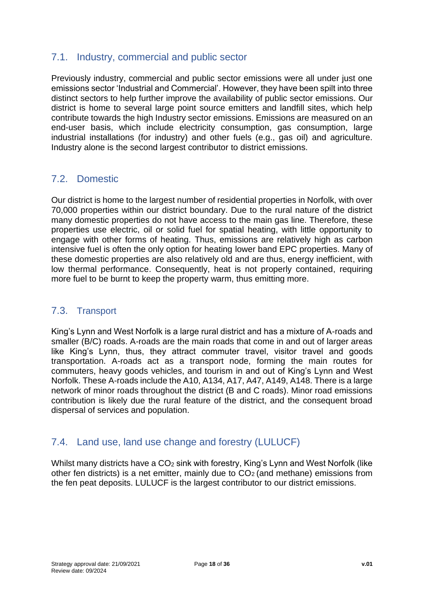#### <span id="page-17-0"></span>7.1. Industry, commercial and public sector

Previously industry, commercial and public sector emissions were all under just one emissions sector 'Industrial and Commercial'. However, they have been spilt into three distinct sectors to help further improve the availability of public sector emissions. Our district is home to several large point source emitters and landfill sites, which help contribute towards the high Industry sector emissions. Emissions are measured on an end-user basis, which include electricity consumption, gas consumption, large industrial installations (for industry) and other fuels (e.g., gas oil) and agriculture. Industry alone is the second largest contributor to district emissions.

#### <span id="page-17-1"></span>7.2. Domestic

Our district is home to the largest number of residential properties in Norfolk, with over 70,000 properties within our district boundary. Due to the rural nature of the district many domestic properties do not have access to the main gas line. Therefore, these properties use electric, oil or solid fuel for spatial heating, with little opportunity to engage with other forms of heating. Thus, emissions are relatively high as carbon intensive fuel is often the only option for heating lower band EPC properties. Many of these domestic properties are also relatively old and are thus, energy inefficient, with low thermal performance. Consequently, heat is not properly contained, requiring more fuel to be burnt to keep the property warm, thus emitting more.

#### <span id="page-17-2"></span>7.3. Transport

King's Lynn and West Norfolk is a large rural district and has a mixture of A-roads and smaller (B/C) roads. A-roads are the main roads that come in and out of larger areas like King's Lynn, thus, they attract commuter travel, visitor travel and goods transportation. A-roads act as a transport node, forming the main routes for commuters, heavy goods vehicles, and tourism in and out of King's Lynn and West Norfolk. These A-roads include the A10, A134, A17, A47, A149, A148. There is a large network of minor roads throughout the district (B and C roads). Minor road emissions contribution is likely due the rural feature of the district, and the consequent broad dispersal of services and population.

#### <span id="page-17-3"></span>7.4. Land use, land use change and forestry (LULUCF)

Whilst many districts have a CO<sub>2</sub> sink with forestry, King's Lynn and West Norfolk (like other fen districts) is a net emitter, mainly due to  $CO<sub>2</sub>$  (and methane) emissions from the fen peat deposits. LULUCF is the largest contributor to our district emissions.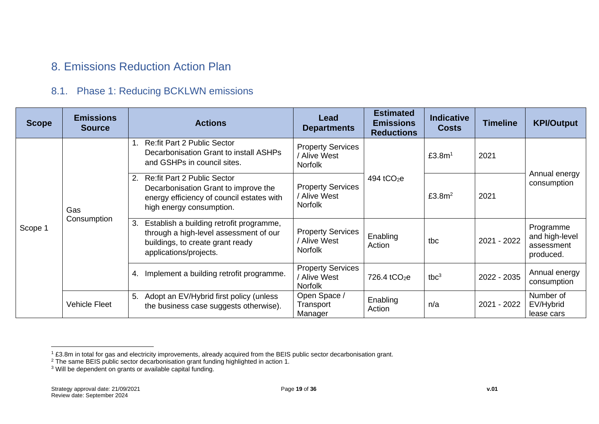### 8. Emissions Reduction Action Plan

#### 8.1. Phase 1: Reducing BCKLWN emissions

<span id="page-18-0"></span>

| <b>Scope</b> | <b>Emissions</b><br><b>Source</b> | <b>Actions</b>                                                                                                                                            | Lead<br><b>Departments</b>                                 | <b>Estimated</b><br><b>Emissions</b><br><b>Reductions</b> | <b>Indicative</b><br><b>Costs</b> | <b>Timeline</b> | <b>KPI/Output</b>                                      |
|--------------|-----------------------------------|-----------------------------------------------------------------------------------------------------------------------------------------------------------|------------------------------------------------------------|-----------------------------------------------------------|-----------------------------------|-----------------|--------------------------------------------------------|
|              |                                   | <b>Re:fit Part 2 Public Sector</b><br>Decarbonisation Grant to install ASHPs<br>and GSHPs in council sites.                                               | <b>Property Services</b><br>/ Alive West<br><b>Norfolk</b> |                                                           | £3.8m <sup>1</sup>                | 2021            |                                                        |
|              | Gas                               | <b>Re:fit Part 2 Public Sector</b><br>2.<br>Decarbonisation Grant to improve the<br>energy efficiency of council estates with<br>high energy consumption. | <b>Property Services</b><br>/ Alive West<br><b>Norfolk</b> | 494 tCO <sub>2</sub> e                                    | £3.8 $m2$                         | 2021            | Annual energy<br>consumption                           |
| Scope 1      | Consumption                       | Establish a building retrofit programme,<br>3.<br>through a high-level assessment of our<br>buildings, to create grant ready<br>applications/projects.    | <b>Property Services</b><br>/ Alive West<br><b>Norfolk</b> | Enabling<br>Action                                        | tbc                               | 2021 - 2022     | Programme<br>and high-level<br>assessment<br>produced. |
|              |                                   | Implement a building retrofit programme.<br>4.                                                                                                            | <b>Property Services</b><br>/ Alive West<br><b>Norfolk</b> | 726.4 $tCO2e$                                             | tbc <sup>3</sup>                  | 2022 - 2035     | Annual energy<br>consumption                           |
|              | <b>Vehicle Fleet</b>              | Adopt an EV/Hybrid first policy (unless<br>5.<br>the business case suggests otherwise).                                                                   | Open Space /<br>Transport<br>Manager                       | Enabling<br>Action                                        | n/a                               | 2021 - 2022     | Number of<br>EV/Hybrid<br>lease cars                   |

<span id="page-18-1"></span> $1$  £3.8m in total for gas and electricity improvements, already acquired from the BEIS public sector decarbonisation grant.

 $2$  The same BEIS public sector decarbonisation grant funding highlighted in action 1.

 $3$  Will be dependent on grants or available capital funding.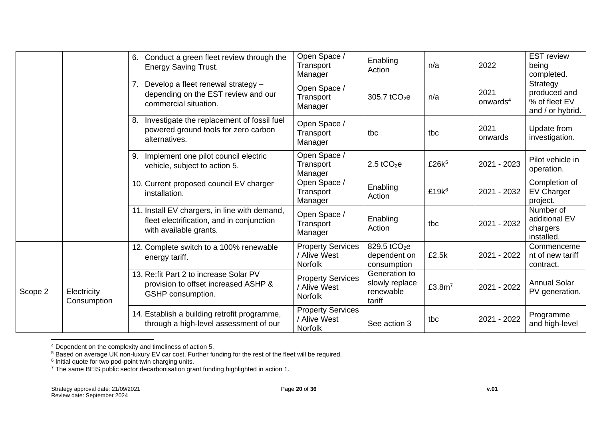|         |                            | Conduct a green fleet review through the<br>6.<br><b>Energy Saving Trust.</b>                                        | Open Space /<br>Transport<br>Manager                       | Enabling<br>Action                                      | n/a               | 2022                         | <b>EST</b> review<br>being<br>completed.                      |
|---------|----------------------------|----------------------------------------------------------------------------------------------------------------------|------------------------------------------------------------|---------------------------------------------------------|-------------------|------------------------------|---------------------------------------------------------------|
|         |                            | Develop a fleet renewal strategy -<br>depending on the EST review and our<br>commercial situation.                   | Open Space /<br>Transport<br>Manager                       | 305.7 tCO <sub>2</sub> e                                | n/a               | 2021<br>onwards <sup>4</sup> | Strategy<br>produced and<br>% of fleet EV<br>and / or hybrid. |
|         |                            | Investigate the replacement of fossil fuel<br>8.<br>powered ground tools for zero carbon<br>alternatives.            | Open Space /<br>Transport<br>Manager                       | tbc                                                     | tbc               | 2021<br>onwards              | Update from<br>investigation.                                 |
|         |                            | Implement one pilot council electric<br>9.<br>vehicle, subject to action 5.                                          | Open Space /<br>Transport<br>Manager                       | $2.5$ tCO <sub>2</sub> e                                | £26k <sup>5</sup> | 2021 - 2023                  | Pilot vehicle in<br>operation.                                |
|         |                            | 10. Current proposed council EV charger<br>installation.                                                             | Open Space /<br>Transport<br>Manager                       | Enabling<br>Action                                      | £19 $k^6$         | 2021 - 2032                  | Completion of<br><b>EV Charger</b><br>project.                |
|         |                            | 11. Install EV chargers, in line with demand,<br>fleet electrification, and in conjunction<br>with available grants. | Open Space /<br>Transport<br>Manager                       | Enabling<br>Action                                      | tbc               | 2021 - 2032                  | Number of<br>additional EV<br>chargers<br>installed.          |
| Scope 2 |                            | 12. Complete switch to a 100% renewable<br>energy tariff.                                                            | <b>Property Services</b><br>/ Alive West<br>Norfolk        | 829.5 tCO <sub>2</sub> e<br>dependent on<br>consumption | £2.5k             | 2021 - 2022                  | Commenceme<br>nt of new tariff<br>contract.                   |
|         | Electricity<br>Consumption | 13. Re: fit Part 2 to increase Solar PV<br>provision to offset increased ASHP &<br>GSHP consumption.                 | <b>Property Services</b><br>/ Alive West<br><b>Norfolk</b> | Generation to<br>slowly replace<br>renewable<br>tariff  | £3.8 $m7$         | 2021 - 2022                  | <b>Annual Solar</b><br>PV generation.                         |
|         |                            | 14. Establish a building retrofit programme,<br>through a high-level assessment of our                               | <b>Property Services</b><br>/ Alive West<br><b>Norfolk</b> | See action 3                                            | tbc               | 2021 - 2022                  | Programme<br>and high-level                                   |

<sup>&</sup>lt;sup>4</sup> Dependent on the complexity and timeliness of action 5.

 $^5$  Based on average UK non-luxury EV car cost. Further funding for the rest of the fleet will be required.<br><sup>6</sup> Initial quote for two pod-point twin charging units.

 $7$  The same BEIS public sector decarbonisation grant funding highlighted in action 1.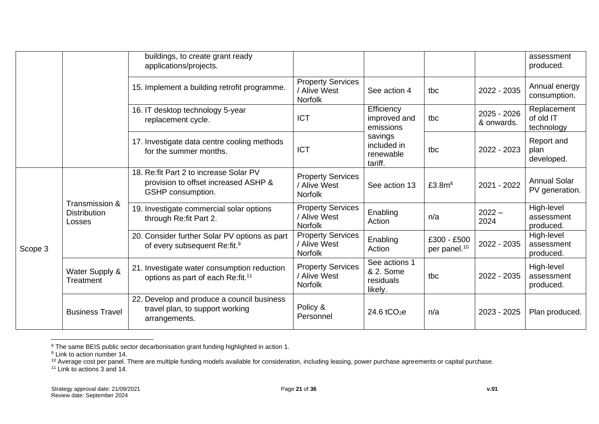|         |                                                 | buildings, to create grant ready<br>applications/projects.                                           |                                                            |                                                    |                                         |                           | assessment<br>produced.                |
|---------|-------------------------------------------------|------------------------------------------------------------------------------------------------------|------------------------------------------------------------|----------------------------------------------------|-----------------------------------------|---------------------------|----------------------------------------|
|         |                                                 | 15. Implement a building retrofit programme.                                                         | <b>Property Services</b><br>/ Alive West<br><b>Norfolk</b> | See action 4                                       | tbc                                     | 2022 - 2035               | Annual energy<br>consumption.          |
|         |                                                 | 16. IT desktop technology 5-year<br>replacement cycle.                                               | <b>ICT</b>                                                 | Efficiency<br>improved and<br>emissions            | tbc                                     | 2025 - 2026<br>& onwards. | Replacement<br>of old IT<br>technology |
|         |                                                 | 17. Investigate data centre cooling methods<br>for the summer months.                                | <b>ICT</b>                                                 | savings<br>included in<br>renewable<br>tariff.     | tbc                                     | 2022 - 2023               | Report and<br>plan<br>developed.       |
| Scope 3 | Transmission &<br><b>Distribution</b><br>Losses | 18. Re: fit Part 2 to increase Solar PV<br>provision to offset increased ASHP &<br>GSHP consumption. | <b>Property Services</b><br>/ Alive West<br><b>Norfolk</b> | See action 13                                      | £3.8 $m8$                               | 2021 - 2022               | <b>Annual Solar</b><br>PV generation.  |
|         |                                                 | 19. Investigate commercial solar options<br>through Re: fit Part 2.                                  | <b>Property Services</b><br>/ Alive West<br><b>Norfolk</b> | Enabling<br>Action                                 | n/a                                     | $2022 -$<br>2024          | High-level<br>assessment<br>produced.  |
|         |                                                 | 20. Consider further Solar PV options as part<br>of every subsequent Re:fit. <sup>9</sup>            | <b>Property Services</b><br>/ Alive West<br><b>Norfolk</b> | Enabling<br>Action                                 | £300 - £500<br>per panel. <sup>10</sup> | 2022 - 2035               | High-level<br>assessment<br>produced.  |
|         | Water Supply &<br>Treatment                     | 21. Investigate water consumption reduction<br>options as part of each Re:fit. <sup>11</sup>         | <b>Property Services</b><br>/ Alive West<br><b>Norfolk</b> | See actions 1<br>& 2. Some<br>residuals<br>likely. | tbc                                     | 2022 - 2035               | High-level<br>assessment<br>produced.  |
|         | <b>Business Travel</b>                          | 22. Develop and produce a council business<br>travel plan, to support working<br>arrangements.       | Policy &<br>Personnel                                      | $24.6$ tCO <sub>2</sub> e                          | n/a                                     | 2023 - 2025               | Plan produced.                         |

<sup>&</sup>lt;sup>8</sup> The same BEIS public sector decarbonisation grant funding highlighted in action 1.

<sup>11</sup> Link to actions 3 and 14.

<sup>&</sup>lt;sup>9</sup> Link to action number 14.

 $10$  Average cost per panel. There are multiple funding models available for consideration, including leasing, power purchase agreements or capital purchase.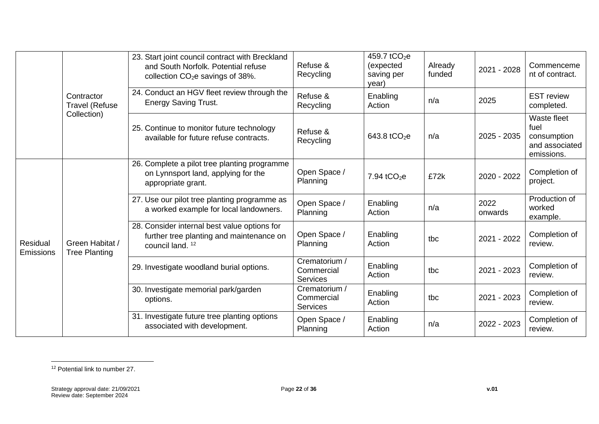|                              |                                         | 23. Start joint council contract with Breckland<br>and South Norfolk. Potential refuse<br>collection $CO2e$ savings of 38%. | Refuse &<br>Recycling                          | 459.7 tCO <sub>2</sub> e<br>(expected<br>saving per<br>year) | Already<br>funded | 2021 - 2028     | Commenceme<br>nt of contract.                                      |
|------------------------------|-----------------------------------------|-----------------------------------------------------------------------------------------------------------------------------|------------------------------------------------|--------------------------------------------------------------|-------------------|-----------------|--------------------------------------------------------------------|
|                              | Contractor<br><b>Travel (Refuse</b>     | 24. Conduct an HGV fleet review through the<br><b>Energy Saving Trust.</b>                                                  | Refuse &<br>Recycling                          | Enabling<br>Action                                           | n/a               | 2025            | <b>EST review</b><br>completed.                                    |
|                              | Collection)                             | 25. Continue to monitor future technology<br>available for future refuse contracts.                                         | Refuse &<br>Recycling                          | 643.8 tCO <sub>2</sub> e                                     | n/a               | 2025 - 2035     | Waste fleet<br>fuel<br>consumption<br>and associated<br>emissions. |
| Residual<br><b>Emissions</b> |                                         | 26. Complete a pilot tree planting programme<br>on Lynnsport land, applying for the<br>appropriate grant.                   | Open Space /<br>Planning                       | 7.94 $tCO2e$                                                 | £72k              | 2020 - 2022     | Completion of<br>project.                                          |
|                              | Green Habitat /<br><b>Tree Planting</b> | 27. Use our pilot tree planting programme as<br>a worked example for local landowners.                                      | Open Space /<br>Planning                       | Enabling<br>Action                                           | n/a               | 2022<br>onwards | Production of<br>worked<br>example.                                |
|                              |                                         | 28. Consider internal best value options for<br>further tree planting and maintenance on<br>council land. <sup>12</sup>     | Open Space /<br>Planning                       | Enabling<br>Action                                           | tbc               | 2021 - 2022     | Completion of<br>review.                                           |
|                              |                                         | 29. Investigate woodland burial options.                                                                                    | Crematorium /<br>Commercial<br><b>Services</b> | Enabling<br>Action                                           | tbc               | 2021 - 2023     | Completion of<br>review.                                           |
|                              |                                         | 30. Investigate memorial park/garden<br>options.                                                                            | Crematorium /<br>Commercial<br><b>Services</b> | Enabling<br>Action                                           | tbc               | 2021 - 2023     | Completion of<br>review.                                           |
|                              |                                         | 31. Investigate future tree planting options<br>associated with development.                                                | Open Space /<br>Planning                       | Enabling<br>Action                                           | n/a               | 2022 - 2023     | Completion of<br>review.                                           |

<sup>12</sup> Potential link to number 27.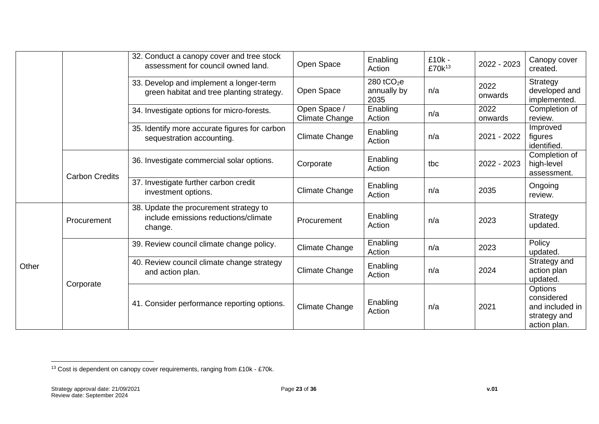|       |                       | 32. Conduct a canopy cover and tree stock<br>assessment for council owned land.           | Open Space                     | Enabling<br>Action                 | £10k -<br>£70k <sup>13</sup> | 2022 - 2023     | Canopy cover<br>created.                                                        |
|-------|-----------------------|-------------------------------------------------------------------------------------------|--------------------------------|------------------------------------|------------------------------|-----------------|---------------------------------------------------------------------------------|
|       |                       | 33. Develop and implement a longer-term<br>green habitat and tree planting strategy.      | Open Space                     | 280 $tCO2e$<br>annually by<br>2035 | n/a                          | 2022<br>onwards | Strategy<br>developed and<br>implemented.                                       |
|       |                       | 34. Investigate options for micro-forests.                                                | Open Space /<br>Climate Change | Enabling<br>Action                 | n/a                          | 2022<br>onwards | Completion of<br>review.                                                        |
|       |                       | 35. Identify more accurate figures for carbon<br>sequestration accounting.                | Climate Change                 | Enabling<br>Action                 | n/a                          | 2021 - 2022     | Improved<br>figures<br>identified.                                              |
|       | <b>Carbon Credits</b> | 36. Investigate commercial solar options.                                                 | Corporate                      | Enabling<br>Action                 | tbc                          | 2022 - 2023     | Completion of<br>high-level<br>assessment.                                      |
|       |                       | 37. Investigate further carbon credit<br>investment options.                              | <b>Climate Change</b>          | Enabling<br>Action                 | n/a                          | 2035            | Ongoing<br>review.                                                              |
|       | Procurement           | 38. Update the procurement strategy to<br>include emissions reductions/climate<br>change. | Procurement                    | Enabling<br>Action                 | n/a                          | 2023            | Strategy<br>updated.                                                            |
|       |                       | 39. Review council climate change policy.                                                 | Climate Change                 | Enabling<br>Action                 | n/a                          | 2023            | Policy<br>updated.                                                              |
| Other |                       | 40. Review council climate change strategy<br>and action plan.                            | <b>Climate Change</b>          | Enabling<br>Action                 | n/a                          | 2024            | Strategy and<br>action plan<br>updated.                                         |
|       | Corporate             | 41. Consider performance reporting options.                                               | <b>Climate Change</b>          | Enabling<br>Action                 | n/a                          | 2021            | <b>Options</b><br>considered<br>and included in<br>strategy and<br>action plan. |

<sup>13</sup> Cost is dependent on canopy cover requirements, ranging from £10k - £70k.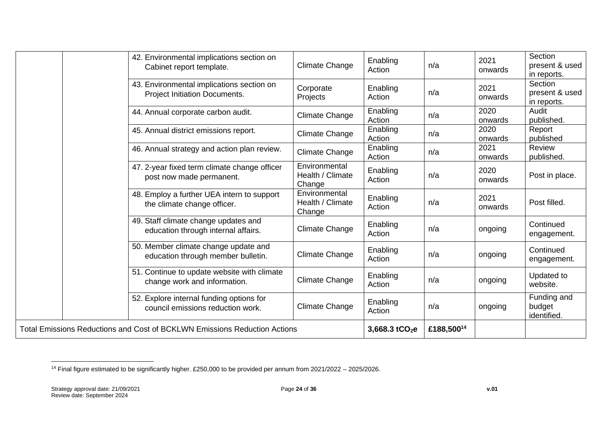|                                                                           | 42. Environmental implications section on<br>Cabinet report template.         | Climate Change                              | Enabling<br>Action | n/a        | 2021<br>onwards | Section<br>present & used<br>in reports. |
|---------------------------------------------------------------------------|-------------------------------------------------------------------------------|---------------------------------------------|--------------------|------------|-----------------|------------------------------------------|
|                                                                           | 43. Environmental implications section on<br>Project Initiation Documents.    | Corporate<br>Projects                       | Enabling<br>Action | n/a        | 2021<br>onwards | Section<br>present & used<br>in reports. |
|                                                                           | 44. Annual corporate carbon audit.                                            | Climate Change                              | Enabling<br>Action | n/a        | 2020<br>onwards | Audit<br>published.                      |
|                                                                           | 45. Annual district emissions report.                                         | Climate Change                              | Enabling<br>Action | n/a        | 2020<br>onwards | Report<br>published                      |
|                                                                           | 46. Annual strategy and action plan review.                                   | Climate Change                              | Enabling<br>Action | n/a        | 2021<br>onwards | Review<br>published.                     |
|                                                                           | 47. 2-year fixed term climate change officer<br>post now made permanent.      | Environmental<br>Health / Climate<br>Change | Enabling<br>Action | n/a        | 2020<br>onwards | Post in place.                           |
|                                                                           | 48. Employ a further UEA intern to support<br>the climate change officer.     | Environmental<br>Health / Climate<br>Change | Enabling<br>Action | n/a        | 2021<br>onwards | Post filled.                             |
|                                                                           | 49. Staff climate change updates and<br>education through internal affairs.   | Climate Change                              | Enabling<br>Action | n/a        | ongoing         | Continued<br>engagement.                 |
|                                                                           | 50. Member climate change update and<br>education through member bulletin.    | Climate Change                              | Enabling<br>Action | n/a        | ongoing         | Continued<br>engagement.                 |
|                                                                           | 51. Continue to update website with climate<br>change work and information.   | Climate Change                              | Enabling<br>Action | n/a        | ongoing         | Updated to<br>website.                   |
|                                                                           | 52. Explore internal funding options for<br>council emissions reduction work. | Climate Change                              | Enabling<br>Action | n/a        | ongoing         | Funding and<br>budget<br>identified.     |
| Total Emissions Reductions and Cost of BCKLWN Emissions Reduction Actions |                                                                               |                                             | 3,668.3 $tCO2e$    | £188,50014 |                 |                                          |

<sup>14</sup> Final figure estimated to be significantly higher. £250,000 to be provided per annum from 2021/2022 – 2025/2026.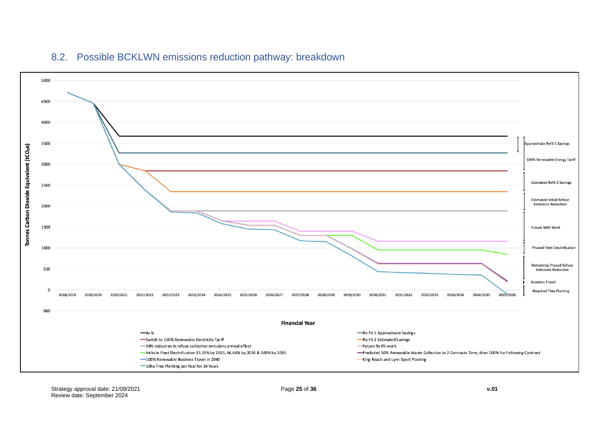

#### 8.2. Possible BCKLWN emissions reduction pathway: breakdown

<span id="page-24-0"></span>Strategy approval date: 21/09/2021 Page **25** of **36 v.01** Review date: September 2024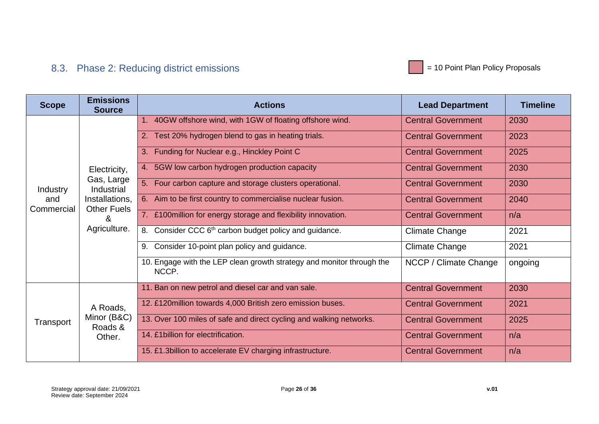

### 8.3. Phase 2: Reducing district emissions

<span id="page-25-0"></span>

| <b>Scope</b>      | <b>Emissions</b><br><b>Source</b>    | <b>Actions</b>                                                             | <b>Lead Department</b>    | <b>Timeline</b> |
|-------------------|--------------------------------------|----------------------------------------------------------------------------|---------------------------|-----------------|
|                   |                                      | 1. 40GW offshore wind, with 1GW of floating offshore wind.                 | <b>Central Government</b> | 2030            |
|                   |                                      | 2. Test 20% hydrogen blend to gas in heating trials.                       | <b>Central Government</b> | 2023            |
|                   |                                      | 3. Funding for Nuclear e.g., Hinckley Point C                              | <b>Central Government</b> | 2025            |
|                   | Electricity,                         | 4. 5GW low carbon hydrogen production capacity                             | <b>Central Government</b> | 2030            |
| Industry          | Gas, Large<br><b>Industrial</b>      | 5. Four carbon capture and storage clusters operational.                   | <b>Central Government</b> | 2030            |
| and<br>Commercial | Installations,<br><b>Other Fuels</b> | 6. Aim to be first country to commercialise nuclear fusion.                | <b>Central Government</b> | 2040            |
|                   | &<br>Agriculture.                    | 7. £100 million for energy storage and flexibility innovation.             | <b>Central Government</b> | n/a             |
|                   |                                      | Consider CCC 6 <sup>th</sup> carbon budget policy and guidance.<br>8.      | <b>Climate Change</b>     | 2021            |
|                   |                                      | Consider 10-point plan policy and guidance.<br>9.                          | <b>Climate Change</b>     | 2021            |
|                   |                                      | Engage with the LEP clean growth strategy and monitor through the<br>NCCP. | NCCP / Climate Change     | ongoing         |
|                   |                                      | 11. Ban on new petrol and diesel car and van sale.                         | <b>Central Government</b> | 2030            |
|                   | A Roads,                             | 12. £120 million towards 4,000 British zero emission buses.                | <b>Central Government</b> | 2021            |
| Transport         | Minor (B&C)<br>Roads &               | 13. Over 100 miles of safe and direct cycling and walking networks.        | <b>Central Government</b> | 2025            |
|                   | Other.                               | 14. £1 billion for electrification.                                        | <b>Central Government</b> | n/a             |
|                   |                                      | 15. £1.3 billion to accelerate EV charging infrastructure.                 | <b>Central Government</b> | n/a             |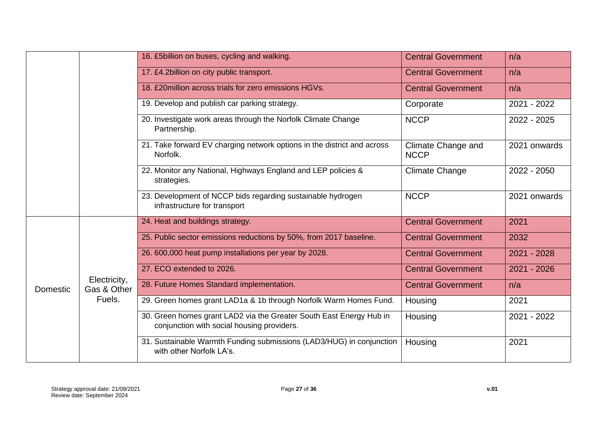|                 |                             | 16. £5billion on buses, cycling and walking.                                                                      | <b>Central Government</b>                | n/a           |
|-----------------|-----------------------------|-------------------------------------------------------------------------------------------------------------------|------------------------------------------|---------------|
|                 |                             | 17. £4.2billion on city public transport.                                                                         | <b>Central Government</b>                | n/a           |
|                 |                             | 18. £20million across trials for zero emissions HGVs.                                                             | <b>Central Government</b>                | n/a           |
|                 |                             | 19. Develop and publish car parking strategy.                                                                     | Corporate                                | 2021 - 2022   |
|                 |                             | 20. Investigate work areas through the Norfolk Climate Change<br>Partnership.                                     | <b>NCCP</b>                              | 2022 - 2025   |
|                 |                             | 21. Take forward EV charging network options in the district and across<br>Norfolk.                               | <b>Climate Change and</b><br><b>NCCP</b> | 2021 onwards  |
|                 |                             | 22. Monitor any National, Highways England and LEP policies &<br>strategies.                                      | <b>Climate Change</b>                    | 2022 - 2050   |
|                 |                             | 23. Development of NCCP bids regarding sustainable hydrogen<br>infrastructure for transport                       | <b>NCCP</b>                              | 2021 onwards  |
|                 |                             | 24. Heat and buildings strategy.                                                                                  | <b>Central Government</b>                | 2021          |
|                 |                             | 25. Public sector emissions reductions by 50%, from 2017 baseline.                                                | <b>Central Government</b>                | 2032          |
|                 |                             | 26.600,000 heat pump installations per year by 2028.                                                              | <b>Central Government</b>                | $2021 - 2028$ |
|                 |                             | 27. ECO extended to 2026.                                                                                         | <b>Central Government</b>                | 2021 - 2026   |
| <b>Domestic</b> | Electricity,<br>Gas & Other | 28. Future Homes Standard implementation.                                                                         | <b>Central Government</b>                | n/a           |
|                 | Fuels.                      | 29. Green homes grant LAD1a & 1b through Norfolk Warm Homes Fund.                                                 | Housing                                  | 2021          |
|                 |                             | 30. Green homes grant LAD2 via the Greater South East Energy Hub in<br>conjunction with social housing providers. | Housing                                  | 2021 - 2022   |
|                 |                             | 31. Sustainable Warmth Funding submissions (LAD3/HUG) in conjunction<br>with other Norfolk LA's.                  | Housing                                  | 2021          |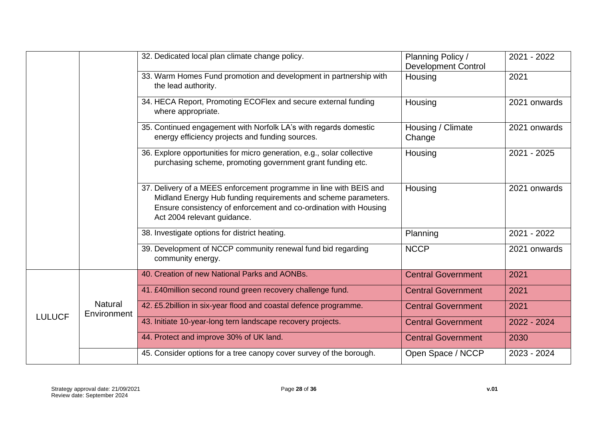|               |                               | 32. Dedicated local plan climate change policy.                                                                                                                                                                                         | Planning Policy /<br><b>Development Control</b> | 2021 - 2022  |
|---------------|-------------------------------|-----------------------------------------------------------------------------------------------------------------------------------------------------------------------------------------------------------------------------------------|-------------------------------------------------|--------------|
|               |                               | 33. Warm Homes Fund promotion and development in partnership with<br>the lead authority.                                                                                                                                                | Housing                                         | 2021         |
|               |                               | 34. HECA Report, Promoting ECOFlex and secure external funding<br>where appropriate.                                                                                                                                                    | Housing                                         | 2021 onwards |
|               |                               | 35. Continued engagement with Norfolk LA's with regards domestic<br>energy efficiency projects and funding sources.                                                                                                                     | Housing / Climate<br>Change                     | 2021 onwards |
|               |                               | 36. Explore opportunities for micro generation, e.g., solar collective<br>purchasing scheme, promoting government grant funding etc.                                                                                                    | Housing                                         | 2021 - 2025  |
|               |                               | 37. Delivery of a MEES enforcement programme in line with BEIS and<br>Midland Energy Hub funding requirements and scheme parameters.<br>Ensure consistency of enforcement and co-ordination with Housing<br>Act 2004 relevant guidance. | Housing                                         | 2021 onwards |
|               |                               | 38. Investigate options for district heating.                                                                                                                                                                                           | Planning                                        | 2021 - 2022  |
|               |                               | 39. Development of NCCP community renewal fund bid regarding<br>community energy.                                                                                                                                                       | <b>NCCP</b>                                     | 2021 onwards |
|               |                               | 40. Creation of new National Parks and AONBs.                                                                                                                                                                                           | <b>Central Government</b>                       | 2021         |
|               |                               | 41. £40million second round green recovery challenge fund.                                                                                                                                                                              | <b>Central Government</b>                       | 2021         |
|               | <b>Natural</b><br>Environment | 42. £5.2billion in six-year flood and coastal defence programme.                                                                                                                                                                        | <b>Central Government</b>                       | 2021         |
| <b>LULUCF</b> |                               | 43. Initiate 10-year-long tern landscape recovery projects.                                                                                                                                                                             | <b>Central Government</b>                       | 2022 - 2024  |
|               |                               | 44. Protect and improve 30% of UK land.                                                                                                                                                                                                 | <b>Central Government</b>                       | 2030         |
|               |                               | 45. Consider options for a tree canopy cover survey of the borough.                                                                                                                                                                     | Open Space / NCCP                               | 2023 - 2024  |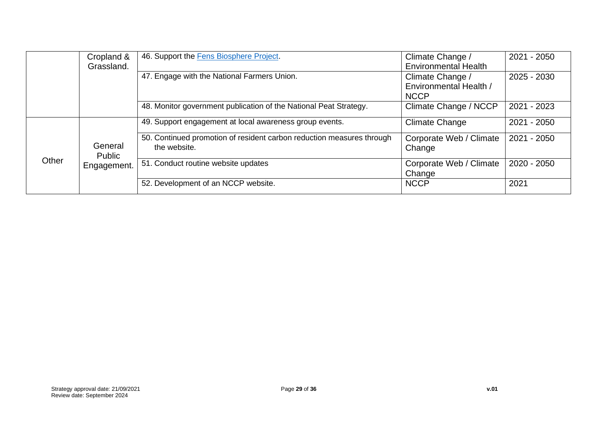|       | Cropland &                       | 46. Support the Fens Biosphere Project.                                               | Climate Change /                  | 2021 - 2050 |
|-------|----------------------------------|---------------------------------------------------------------------------------------|-----------------------------------|-------------|
|       | Grassland.                       |                                                                                       | <b>Environmental Health</b>       |             |
|       |                                  | 47. Engage with the National Farmers Union.                                           | Climate Change /                  | 2025 - 2030 |
|       |                                  |                                                                                       | Environmental Health /            |             |
|       |                                  |                                                                                       | <b>NCCP</b>                       |             |
|       |                                  | 48. Monitor government publication of the National Peat Strategy.                     | Climate Change / NCCP             | 2021 - 2023 |
|       |                                  | 49. Support engagement at local awareness group events.                               | Climate Change                    | 2021 - 2050 |
| Other | General<br>Public<br>Engagement. | 50. Continued promotion of resident carbon reduction measures through<br>the website. | Corporate Web / Climate<br>Change | 2021 - 2050 |
|       |                                  | 51. Conduct routine website updates                                                   | Corporate Web / Climate<br>Change | 2020 - 2050 |
|       |                                  | 52. Development of an NCCP website.                                                   | <b>NCCP</b>                       | 2021        |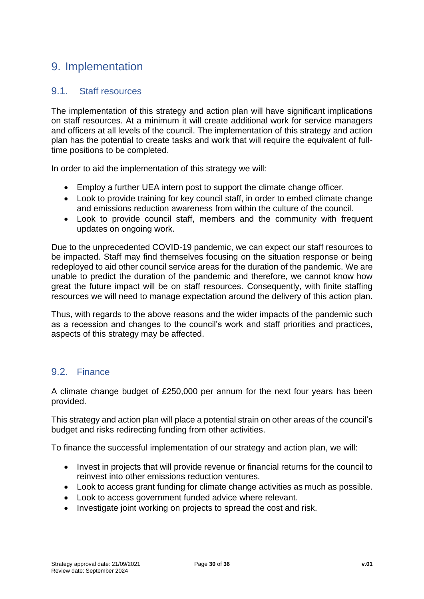### <span id="page-29-0"></span>9. Implementation

#### <span id="page-29-1"></span>9.1. Staff resources

The implementation of this strategy and action plan will have significant implications on staff resources. At a minimum it will create additional work for service managers and officers at all levels of the council. The implementation of this strategy and action plan has the potential to create tasks and work that will require the equivalent of fulltime positions to be completed.

In order to aid the implementation of this strategy we will:

- Employ a further UEA intern post to support the climate change officer.
- Look to provide training for key council staff, in order to embed climate change and emissions reduction awareness from within the culture of the council.
- Look to provide council staff, members and the community with frequent updates on ongoing work.

Due to the unprecedented COVID-19 pandemic, we can expect our staff resources to be impacted. Staff may find themselves focusing on the situation response or being redeployed to aid other council service areas for the duration of the pandemic. We are unable to predict the duration of the pandemic and therefore, we cannot know how great the future impact will be on staff resources. Consequently, with finite staffing resources we will need to manage expectation around the delivery of this action plan.

Thus, with regards to the above reasons and the wider impacts of the pandemic such as a recession and changes to the council's work and staff priorities and practices, aspects of this strategy may be affected.

#### <span id="page-29-2"></span>9.2. Finance

A climate change budget of £250,000 per annum for the next four years has been provided.

This strategy and action plan will place a potential strain on other areas of the council's budget and risks redirecting funding from other activities.

To finance the successful implementation of our strategy and action plan, we will:

- Invest in projects that will provide revenue or financial returns for the council to reinvest into other emissions reduction ventures.
- Look to access grant funding for climate change activities as much as possible.
- Look to access government funded advice where relevant.
- Investigate joint working on projects to spread the cost and risk.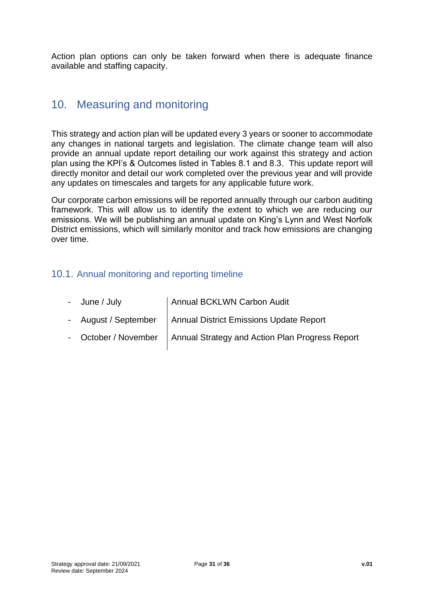Action plan options can only be taken forward when there is adequate finance available and staffing capacity.

### <span id="page-30-0"></span>10. Measuring and monitoring

This strategy and action plan will be updated every 3 years or sooner to accommodate any changes in national targets and legislation. The climate change team will also provide an annual update report detailing our work against this strategy and action plan using the KPI's & Outcomes listed in Tables 8.1 and 8.3. This update report will directly monitor and detail our work completed over the previous year and will provide any updates on timescales and targets for any applicable future work.

Our corporate carbon emissions will be reported annually through our carbon auditing framework. This will allow us to identify the extent to which we are reducing our emissions. We will be publishing an annual update on King's Lynn and West Norfolk District emissions, which will similarly monitor and track how emissions are changing over time.

#### <span id="page-30-1"></span>10.1. Annual monitoring and reporting timeline

| - June / July | Annual BCKLWN Carbon Audit                                             |
|---------------|------------------------------------------------------------------------|
|               | - August / September   Annual District Emissions Update Report         |
|               | - October / November   Annual Strategy and Action Plan Progress Report |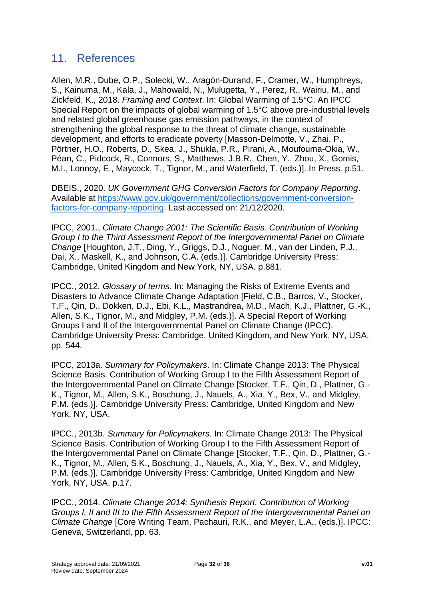### <span id="page-31-0"></span>11. References

Allen, M.R., Dube, O.P., Solecki, W., Aragón-Durand, F., Cramer, W., Humphreys, S., Kainuma, M., Kala, J., Mahowald, N., Mulugetta, Y., Perez, R., Wairiu, M., and Zickfeld, K., 2018. *Framing and Context*. In: Global Warming of 1.5°C. An IPCC Special Report on the impacts of global warming of 1.5°C above pre-industrial levels and related global greenhouse gas emission pathways, in the context of strengthening the global response to the threat of climate change, sustainable development, and efforts to eradicate poverty [Masson-Delmotte, V., Zhai, P., Pörtner, H.O., Roberts, D., Skea, J., Shukla, P.R., Pirani, A., Moufouma-Okia, W., Péan, C., Pidcock, R., Connors, S., Matthews, J.B.R., Chen, Y., Zhou, X., Gomis, M.I., Lonnoy, E., Maycock, T., Tignor, M., and Waterfield, T. (eds.)]. In Press. p.51.

DBEIS., 2020. *UK Government GHG Conversion Factors for Company Reporting*. Available at [https://www.gov.uk/government/collections/government-conversion](https://www.gov.uk/government/collections/government-conversion-factors-for-company-reporting)[factors-for-company-reporting.](https://www.gov.uk/government/collections/government-conversion-factors-for-company-reporting) Last accessed on: 21/12/2020.

IPCC, 2001., *Climate Change 2001: The Scientific Basis. Contribution of Working Group I to the Third Assessment Report of the Intergovernmental Panel on Climate Change* [Houghton, J.T., Ding, Y., Griggs, D.J., Noguer, M., van der Linden, P.J., Dai, X., Maskell, K., and Johnson, C.A. (eds.)]. Cambridge University Press: Cambridge, United Kingdom and New York, NY, USA. p.881.

IPCC., 2012*. Glossary of terms*. In: Managing the Risks of Extreme Events and Disasters to Advance Climate Change Adaptation [Field, C.B., Barros, V., Stocker, T.F., Qin, D., Dokken, D.J., Ebi, K.L., Mastrandrea, M.D., Mach, K.J., Plattner, G.-K., Allen, S.K., Tignor, M., and Midgley, P.M. (eds.)]. A Special Report of Working Groups I and II of the Intergovernmental Panel on Climate Change (IPCC). Cambridge University Press: Cambridge, United Kingdom, and New York, NY, USA. pp. 544.

IPCC, 2013a. *Summary for Policymakers*. In: Climate Change 2013: The Physical Science Basis. Contribution of Working Group I to the Fifth Assessment Report of the Intergovernmental Panel on Climate Change [Stocker, T.F., Qin, D., Plattner, G.- K., Tignor, M., Allen, S.K., Boschung, J., Nauels, A., Xia, Y., Bex, V., and Midgley, P.M. (eds.)]. Cambridge University Press: Cambridge, United Kingdom and New York, NY, USA.

IPCC., 2013b. *Summary for Policymakers*. In: Climate Change 2013: The Physical Science Basis. Contribution of Working Group I to the Fifth Assessment Report of the Intergovernmental Panel on Climate Change [Stocker, T.F., Qin, D., Plattner, G.- K., Tignor, M., Allen, S.K., Boschung, J., Nauels, A., Xia, Y., Bex, V., and Midgley, P.M. (eds.)]. Cambridge University Press: Cambridge, United Kingdom and New York, NY, USA. p.17.

IPCC., 2014. *Climate Change 2014: Synthesis Report. Contribution of Working Groups I, II and III to the Fifth Assessment Report of the Intergovernmental Panel on Climate Change* [Core Writing Team, Pachauri, R.K., and Meyer, L.A., (eds.)]. IPCC: Geneva, Switzerland, pp. 63.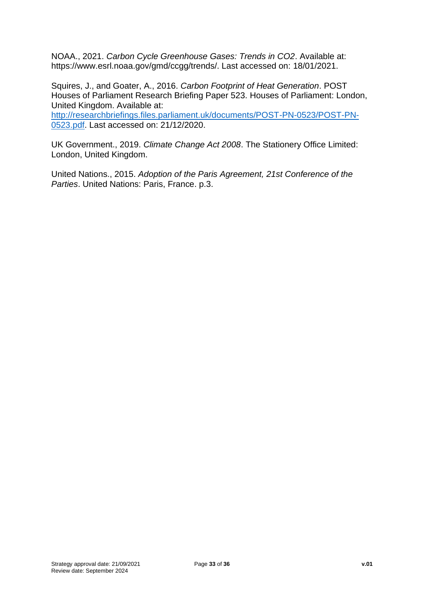NOAA., 2021. *Carbon Cycle Greenhouse Gases: Trends in CO2*. Available at: https://www.esrl.noaa.gov/gmd/ccgg/trends/. Last accessed on: 18/01/2021.

Squires, J., and Goater, A., 2016. *Carbon Footprint of Heat Generation*. POST Houses of Parliament Research Briefing Paper 523. Houses of Parliament: London, United Kingdom. Available at:

[http://researchbriefings.files.parliament.uk/documents/POST-PN-0523/POST-PN-](http://researchbriefings.files.parliament.uk/documents/POST-PN-0523/POST-PN-0523.pdf)[0523.pdf.](http://researchbriefings.files.parliament.uk/documents/POST-PN-0523/POST-PN-0523.pdf) Last accessed on: 21/12/2020.

UK Government., 2019. *Climate Change Act 2008*. The Stationery Office Limited: London, United Kingdom.

United Nations., 2015. *Adoption of the Paris Agreement, 21st Conference of the Parties*. United Nations: Paris, France. p.3.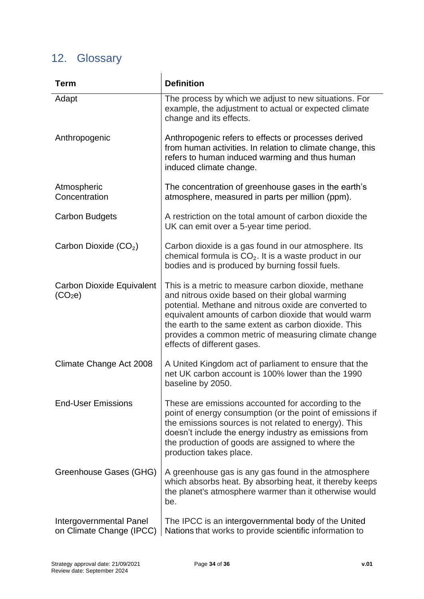# <span id="page-33-0"></span>12. Glossary

| <b>Term</b>                                         | <b>Definition</b>                                                                                                                                                                                                                                                                                                                                                      |  |  |
|-----------------------------------------------------|------------------------------------------------------------------------------------------------------------------------------------------------------------------------------------------------------------------------------------------------------------------------------------------------------------------------------------------------------------------------|--|--|
| Adapt                                               | The process by which we adjust to new situations. For<br>example, the adjustment to actual or expected climate<br>change and its effects.                                                                                                                                                                                                                              |  |  |
| Anthropogenic                                       | Anthropogenic refers to effects or processes derived<br>from human activities. In relation to climate change, this<br>refers to human induced warming and thus human<br>induced climate change.                                                                                                                                                                        |  |  |
| Atmospheric<br>Concentration                        | The concentration of greenhouse gases in the earth's<br>atmosphere, measured in parts per million (ppm).                                                                                                                                                                                                                                                               |  |  |
| <b>Carbon Budgets</b>                               | A restriction on the total amount of carbon dioxide the<br>UK can emit over a 5-year time period.                                                                                                                                                                                                                                                                      |  |  |
| Carbon Dioxide (CO <sub>2</sub> )                   | Carbon dioxide is a gas found in our atmosphere. Its<br>chemical formula is $CO2$ . It is a waste product in our<br>bodies and is produced by burning fossil fuels.                                                                                                                                                                                                    |  |  |
| Carbon Dioxide Equivalent<br>(CO <sub>2</sub> e)    | This is a metric to measure carbon dioxide, methane<br>and nitrous oxide based on their global warming<br>potential. Methane and nitrous oxide are converted to<br>equivalent amounts of carbon dioxide that would warm<br>the earth to the same extent as carbon dioxide. This<br>provides a common metric of measuring climate change<br>effects of different gases. |  |  |
| Climate Change Act 2008                             | A United Kingdom act of parliament to ensure that the<br>net UK carbon account is 100% lower than the 1990<br>baseline by 2050.                                                                                                                                                                                                                                        |  |  |
| <b>End-User Emissions</b>                           | These are emissions accounted for according to the<br>point of energy consumption (or the point of emissions if<br>the emissions sources is not related to energy). This<br>doesn't include the energy industry as emissions from<br>the production of goods are assigned to where the<br>production takes place.                                                      |  |  |
| Greenhouse Gases (GHG)                              | A greenhouse gas is any gas found in the atmosphere<br>which absorbs heat. By absorbing heat, it thereby keeps<br>the planet's atmosphere warmer than it otherwise would<br>be.                                                                                                                                                                                        |  |  |
| Intergovernmental Panel<br>on Climate Change (IPCC) | The IPCC is an intergovernmental body of the United<br>Nations that works to provide scientific information to                                                                                                                                                                                                                                                         |  |  |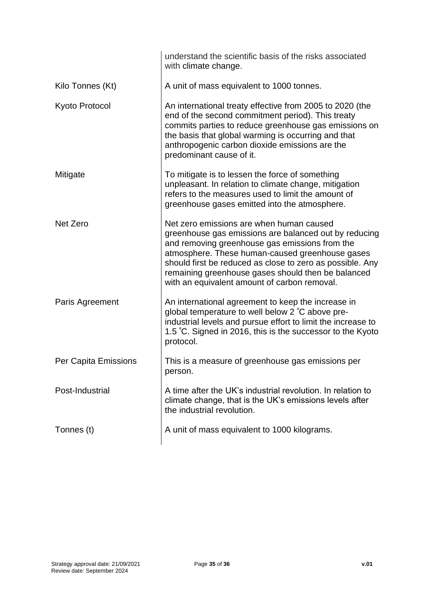|                      | understand the scientific basis of the risks associated<br>with climate change.                                                                                                                                                                                                                                                                                           |  |  |
|----------------------|---------------------------------------------------------------------------------------------------------------------------------------------------------------------------------------------------------------------------------------------------------------------------------------------------------------------------------------------------------------------------|--|--|
| Kilo Tonnes (Kt)     | A unit of mass equivalent to 1000 tonnes.                                                                                                                                                                                                                                                                                                                                 |  |  |
| Kyoto Protocol       | An international treaty effective from 2005 to 2020 (the<br>end of the second commitment period). This treaty<br>commits parties to reduce greenhouse gas emissions on<br>the basis that global warming is occurring and that<br>anthropogenic carbon dioxide emissions are the<br>predominant cause of it.                                                               |  |  |
| Mitigate             | To mitigate is to lessen the force of something<br>unpleasant. In relation to climate change, mitigation<br>refers to the measures used to limit the amount of<br>greenhouse gases emitted into the atmosphere.                                                                                                                                                           |  |  |
| Net Zero             | Net zero emissions are when human caused<br>greenhouse gas emissions are balanced out by reducing<br>and removing greenhouse gas emissions from the<br>atmosphere. These human-caused greenhouse gases<br>should first be reduced as close to zero as possible. Any<br>remaining greenhouse gases should then be balanced<br>with an equivalent amount of carbon removal. |  |  |
| Paris Agreement      | An international agreement to keep the increase in<br>global temperature to well below 2 °C above pre-<br>industrial levels and pursue effort to limit the increase to<br>1.5 °C. Signed in 2016, this is the successor to the Kyoto<br>protocol.                                                                                                                         |  |  |
| Per Capita Emissions | This is a measure of greenhouse gas emissions per<br>person.                                                                                                                                                                                                                                                                                                              |  |  |
| Post-Industrial      | A time after the UK's industrial revolution. In relation to<br>climate change, that is the UK's emissions levels after<br>the industrial revolution.                                                                                                                                                                                                                      |  |  |
| Tonnes (t)           | A unit of mass equivalent to 1000 kilograms.                                                                                                                                                                                                                                                                                                                              |  |  |